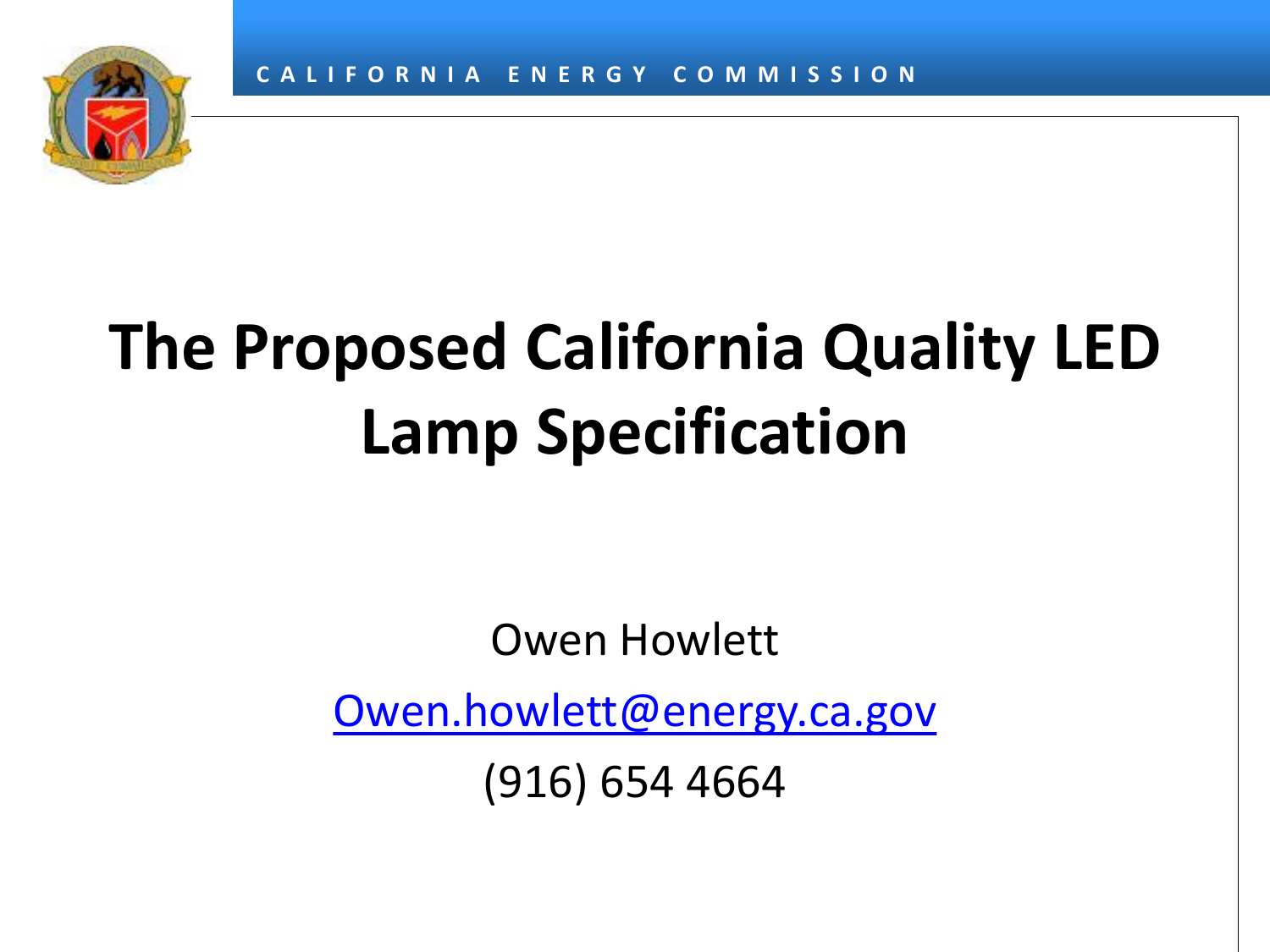

### **The Proposed California Quality LED Lamp Specification**

Owen Howlett

[Owen.howlett@energy.ca.gov](mailto:Owen.howlett@energy.ca.gov)

(916) 654 4664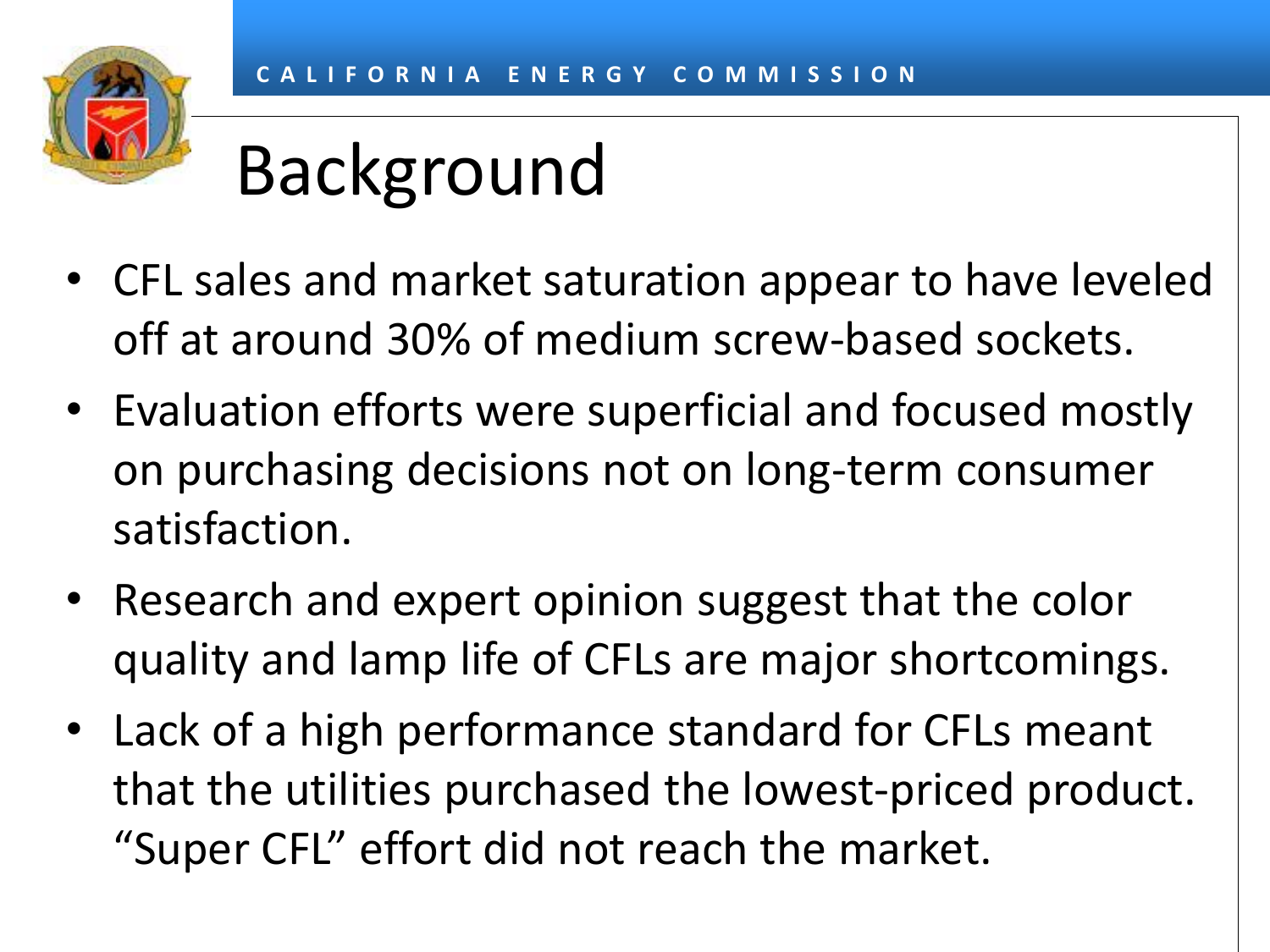

### Background

- CFL sales and market saturation appear to have leveled off at around 30% of medium screw-based sockets.
- Evaluation efforts were superficial and focused mostly on purchasing decisions not on long-term consumer satisfaction.
- Research and expert opinion suggest that the color quality and lamp life of CFLs are major shortcomings.
- Lack of a high performance standard for CFLs meant that the utilities purchased the lowest-priced product. "Super CFL" effort did not reach the market.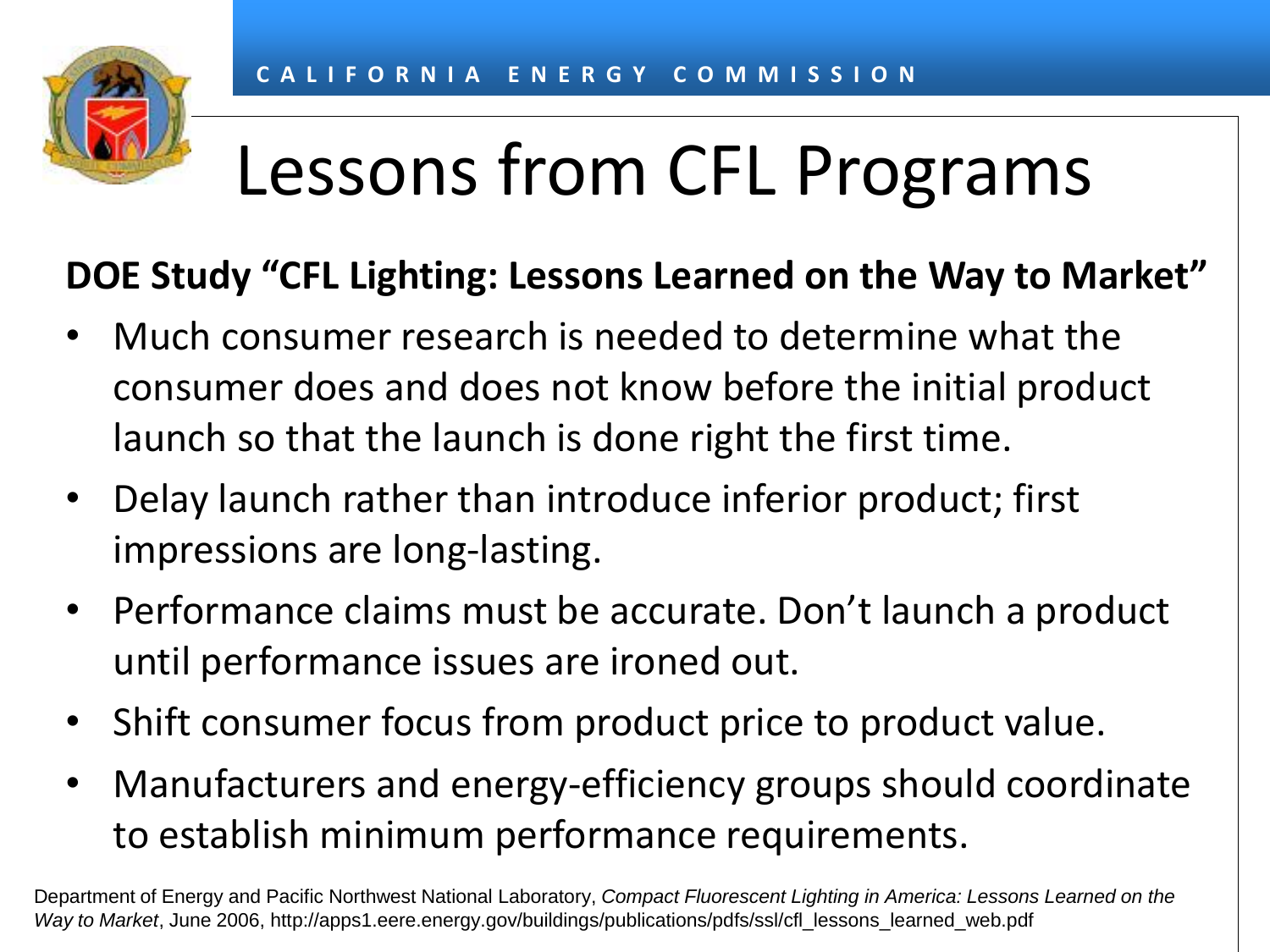### Lessons from CFL Programs

#### **DOE Study "CFL Lighting: Lessons Learned on the Way to Market"**

- Much consumer research is needed to determine what the consumer does and does not know before the initial product launch so that the launch is done right the first time.
- Delay launch rather than introduce inferior product; first impressions are long-lasting.
- Performance claims must be accurate. Don't launch a product until performance issues are ironed out.
- Shift consumer focus from product price to product value.
- Manufacturers and energy-efficiency groups should coordinate to establish minimum performance requirements.

Department of Energy and Pacific Northwest National Laboratory, *Compact Fluorescent Lighting in America: Lessons Learned on the Way to Market*, June 2006, http://apps1.eere.energy.gov/buildings/publications/pdfs/ssl/cfl\_lessons\_learned\_web.pdf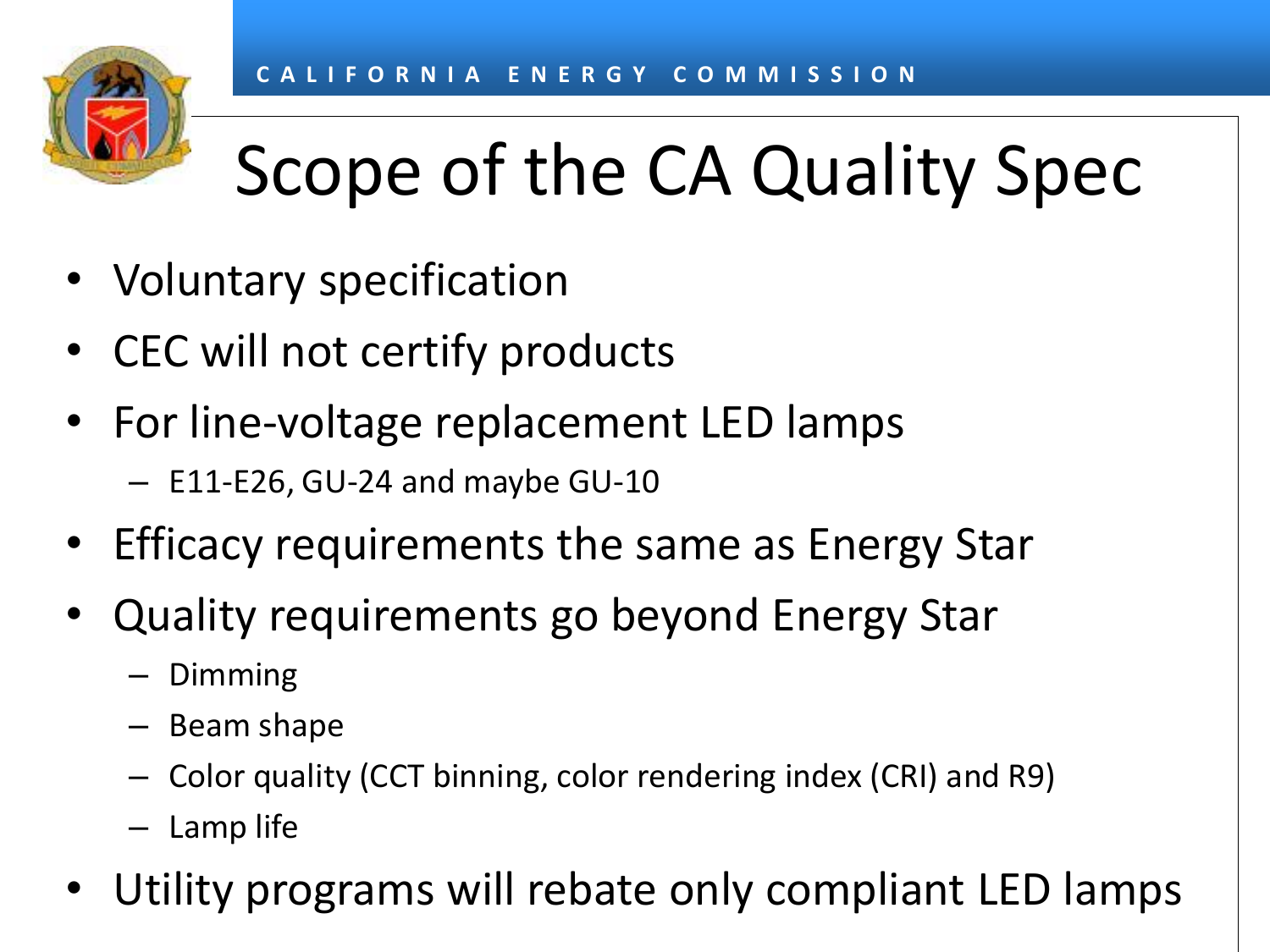# Scope of the CA Quality Spec

- Voluntary specification
- CEC will not certify products
- For line-voltage replacement LED lamps
	- E11-E26, GU-24 and maybe GU-10
- Efficacy requirements the same as Energy Star
- Quality requirements go beyond Energy Star
	- Dimming
	- Beam shape
	- Color quality (CCT binning, color rendering index (CRI) and R9)
	- Lamp life
- Utility programs will rebate only compliant LED lamps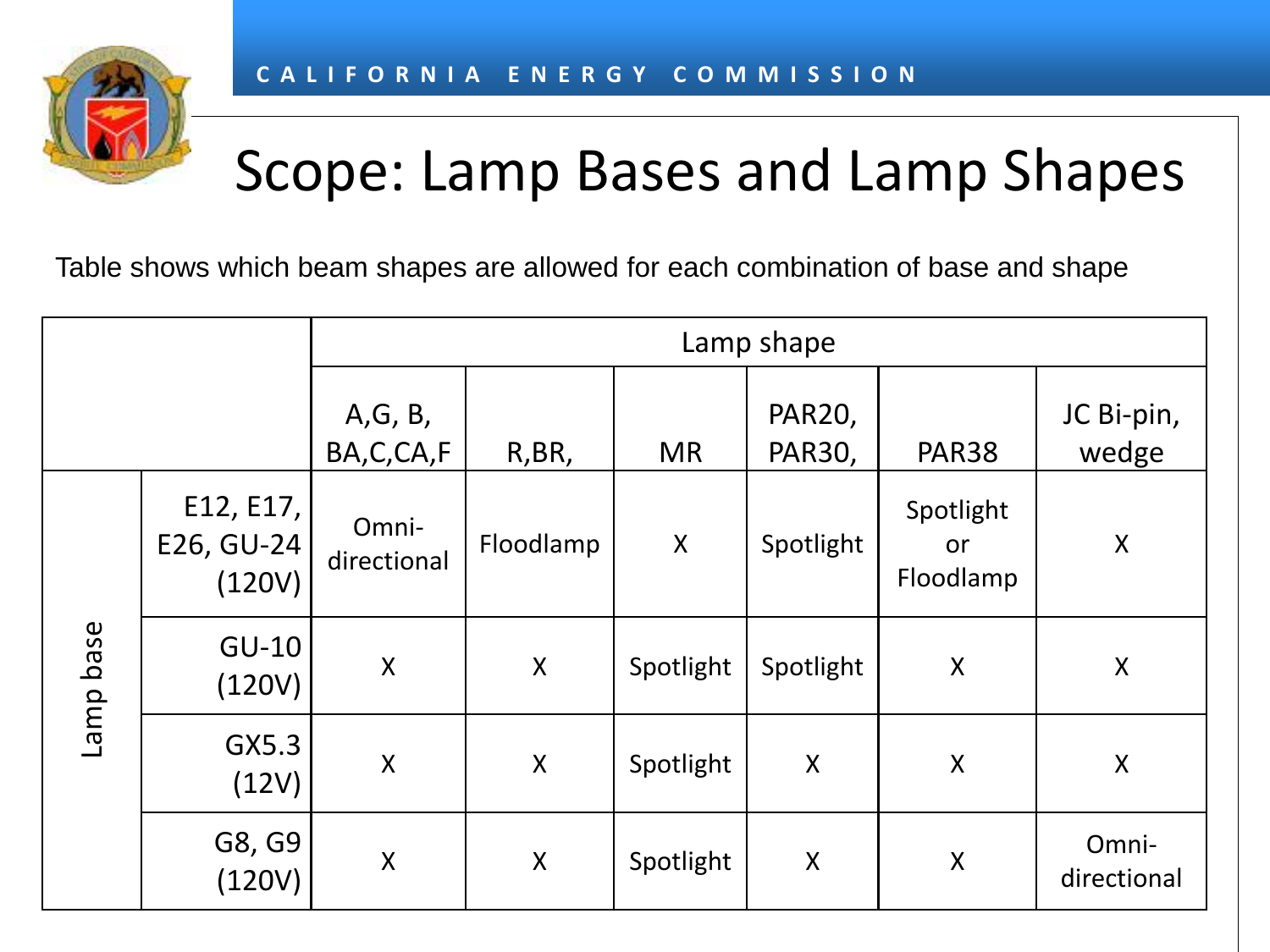

#### Scope: Lamp Bases and Lamp Shapes

Table shows which beam shapes are allowed for each combination of base and shape

|           |                                   | Lamp shape            |           |           |                    |                              |                           |
|-----------|-----------------------------------|-----------------------|-----------|-----------|--------------------|------------------------------|---------------------------|
|           |                                   | A, G, B,<br>BA,C,CA,F | R, BR,    | <b>MR</b> | PAR20,<br>PAR30,   | <b>PAR38</b>                 | JC Bi-pin,<br>wedge       |
| Lamp base | E12, E17,<br>E26, GU-24<br>(120V) | Omni-<br>directional  | Floodlamp | X         | Spotlight          | Spotlight<br>or<br>Floodlamp | $\pmb{\mathsf{X}}$        |
|           | $GU-10$<br>(120V)                 | $\pmb{\mathsf{X}}$    | X         | Spotlight | Spotlight          | $\sf X$                      | $\sf X$                   |
|           | GX5.3<br>(12V)                    | $\pmb{\mathsf{X}}$    | X         | Spotlight | $\sf X$            | $\sf X$                      | $\boldsymbol{\mathsf{X}}$ |
|           | G8, G9<br>(120V)                  | $\pmb{\mathsf{X}}$    | X         | Spotlight | $\pmb{\mathsf{X}}$ | $\sf X$                      | Omni-<br>directional      |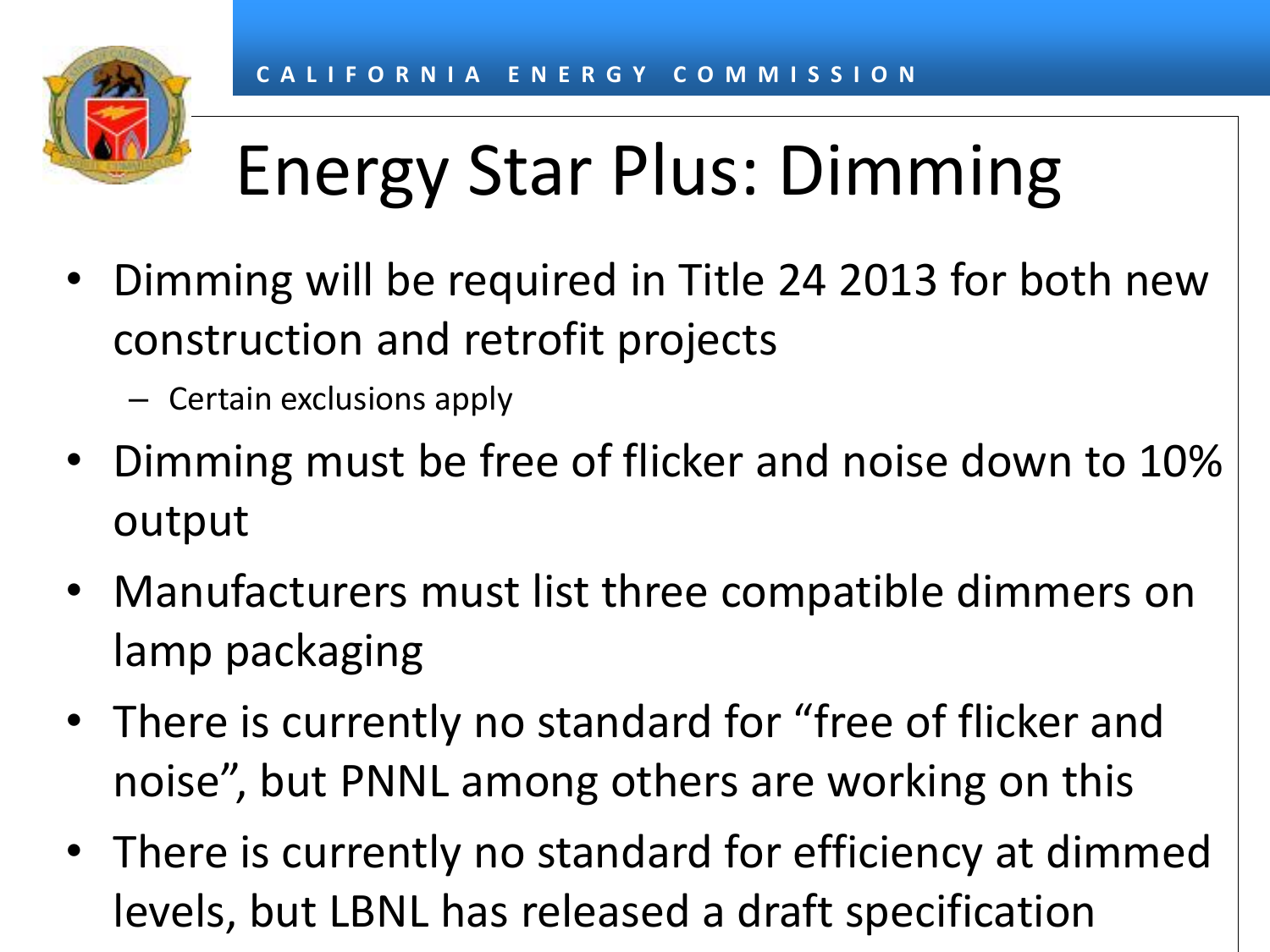# Energy Star Plus: Dimming

- Dimming will be required in Title 24 2013 for both new construction and retrofit projects
	- Certain exclusions apply
- Dimming must be free of flicker and noise down to 10% output
- Manufacturers must list three compatible dimmers on lamp packaging
- There is currently no standard for "free of flicker and noise", but PNNL among others are working on this
- There is currently no standard for efficiency at dimmed levels, but LBNL has released a draft specification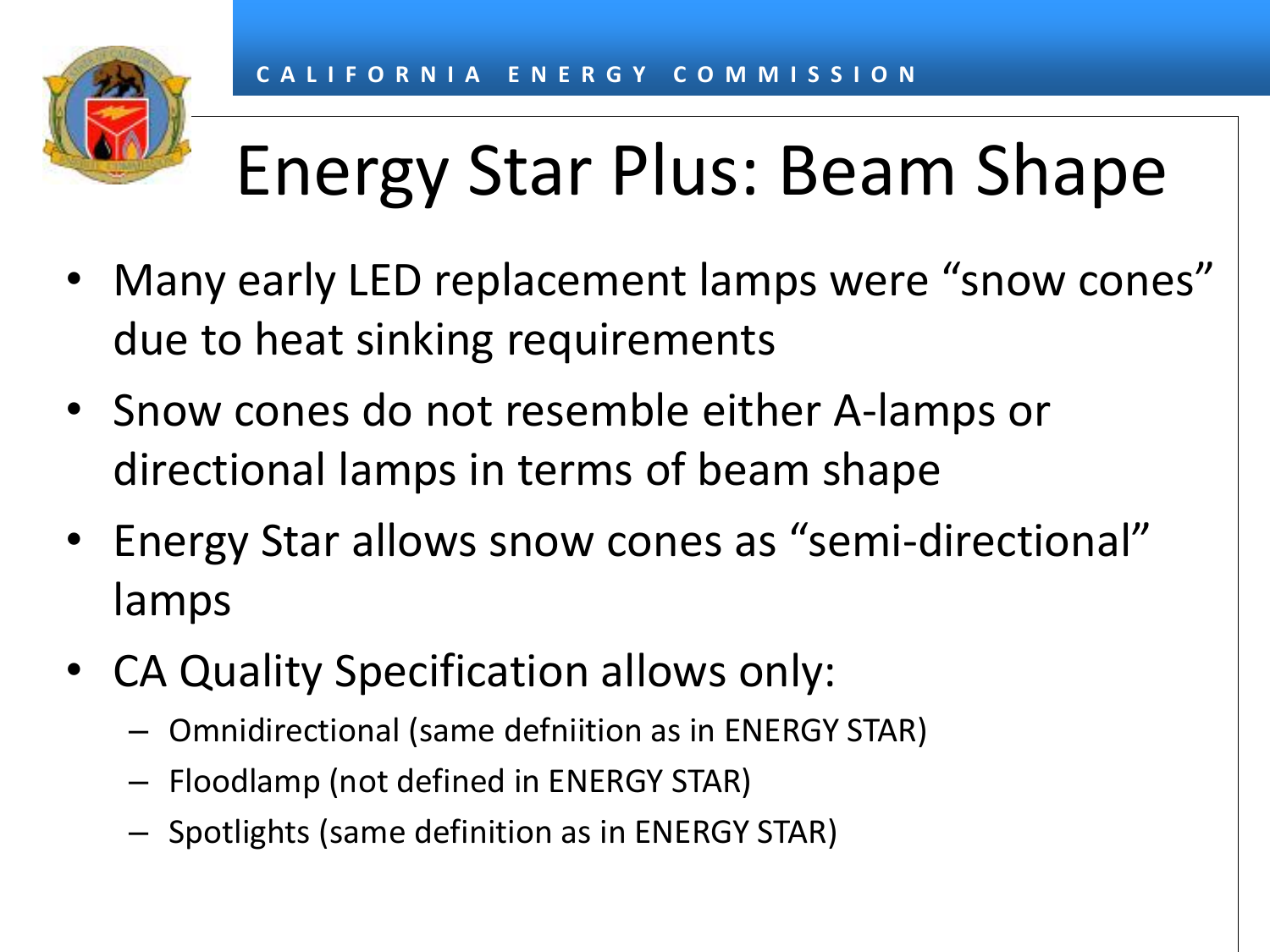# Energy Star Plus: Beam Shape

- Many early LED replacement lamps were "snow cones" due to heat sinking requirements
- Snow cones do not resemble either A-lamps or directional lamps in terms of beam shape
- Energy Star allows snow cones as "semi-directional" lamps
- CA Quality Specification allows only:
	- Omnidirectional (same defniition as in ENERGY STAR)
	- Floodlamp (not defined in ENERGY STAR)
	- Spotlights (same definition as in ENERGY STAR)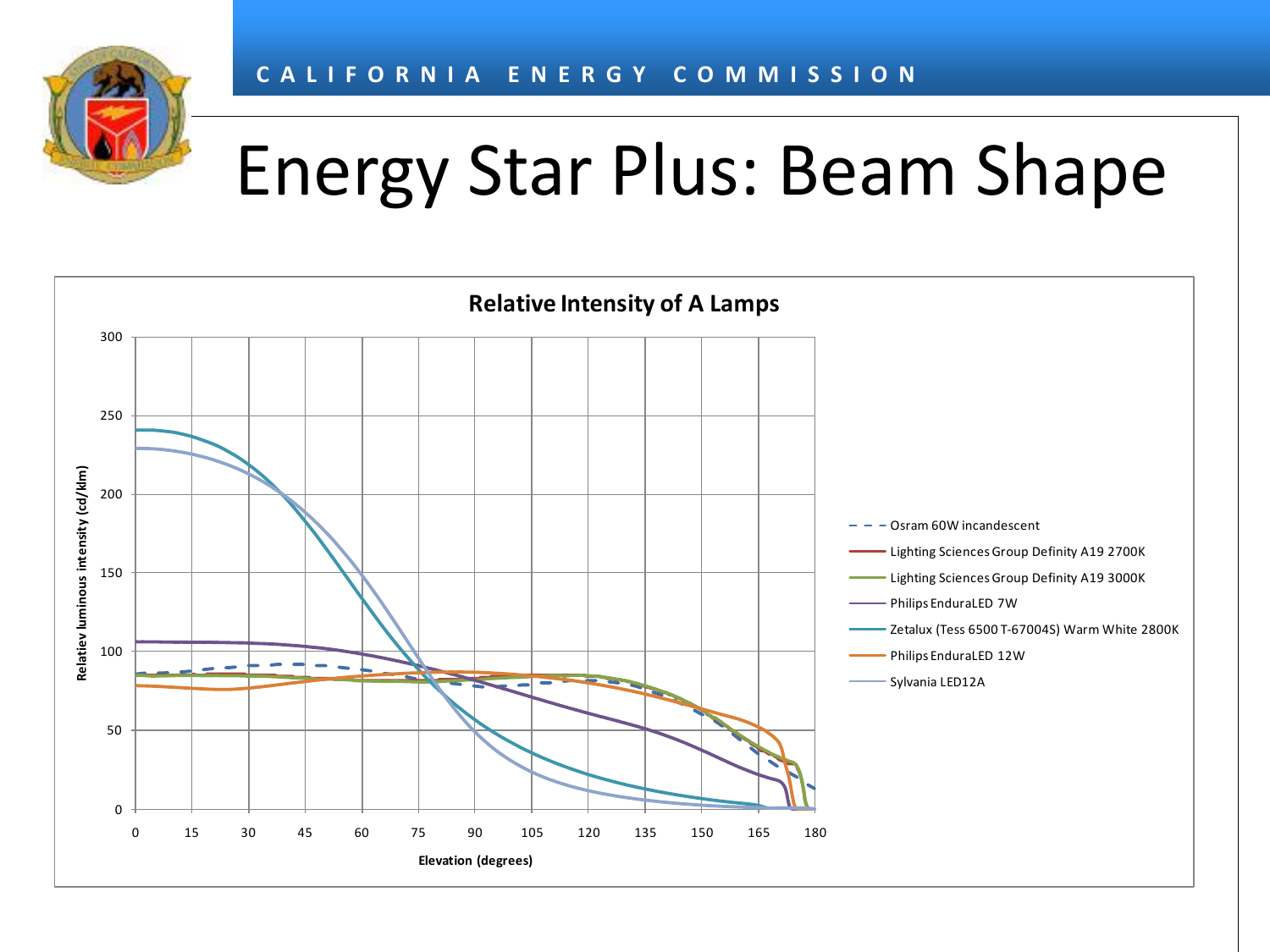

### Energy Star Plus: Beam Shape

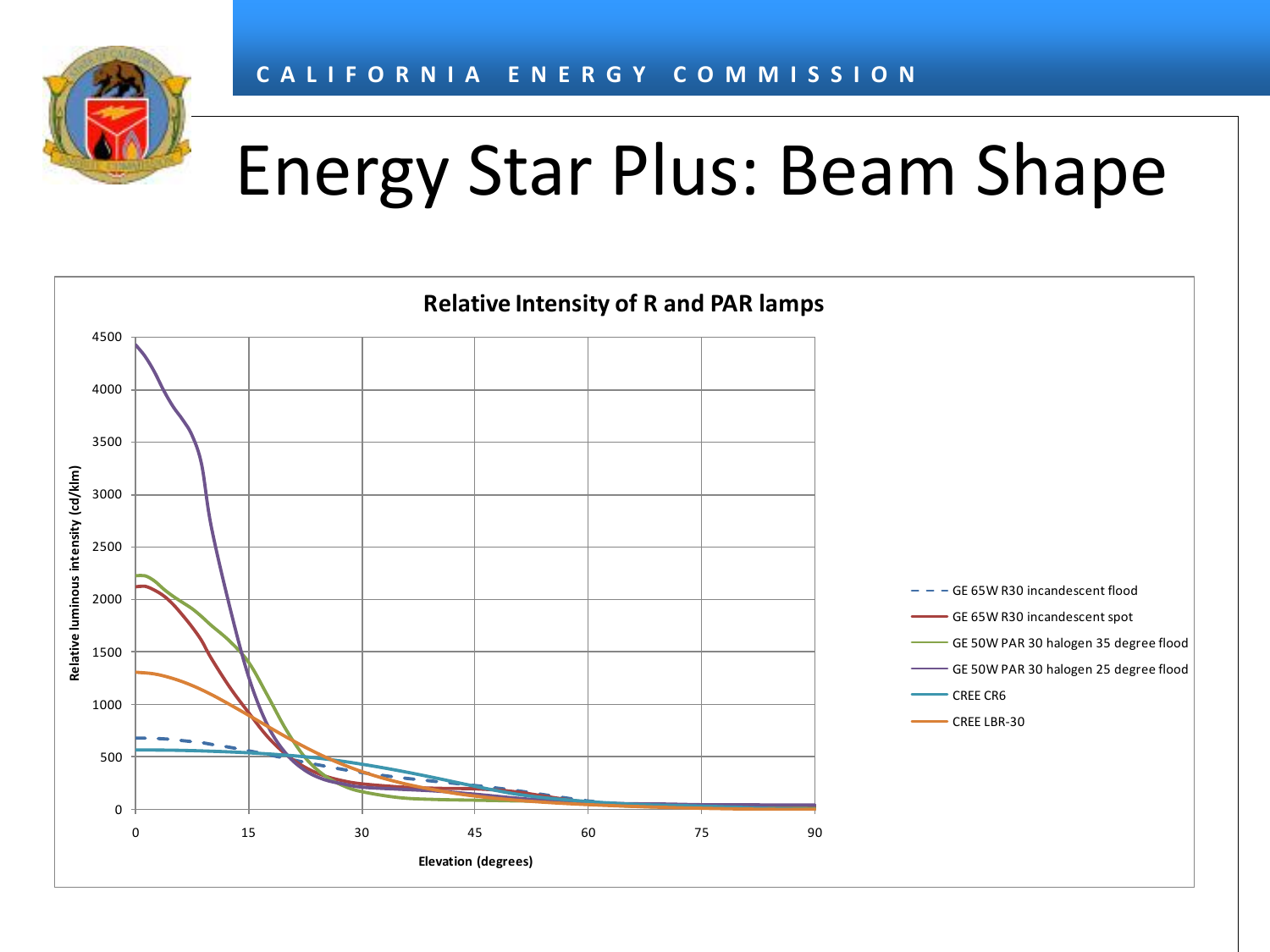

### Energy Star Plus: Beam Shape

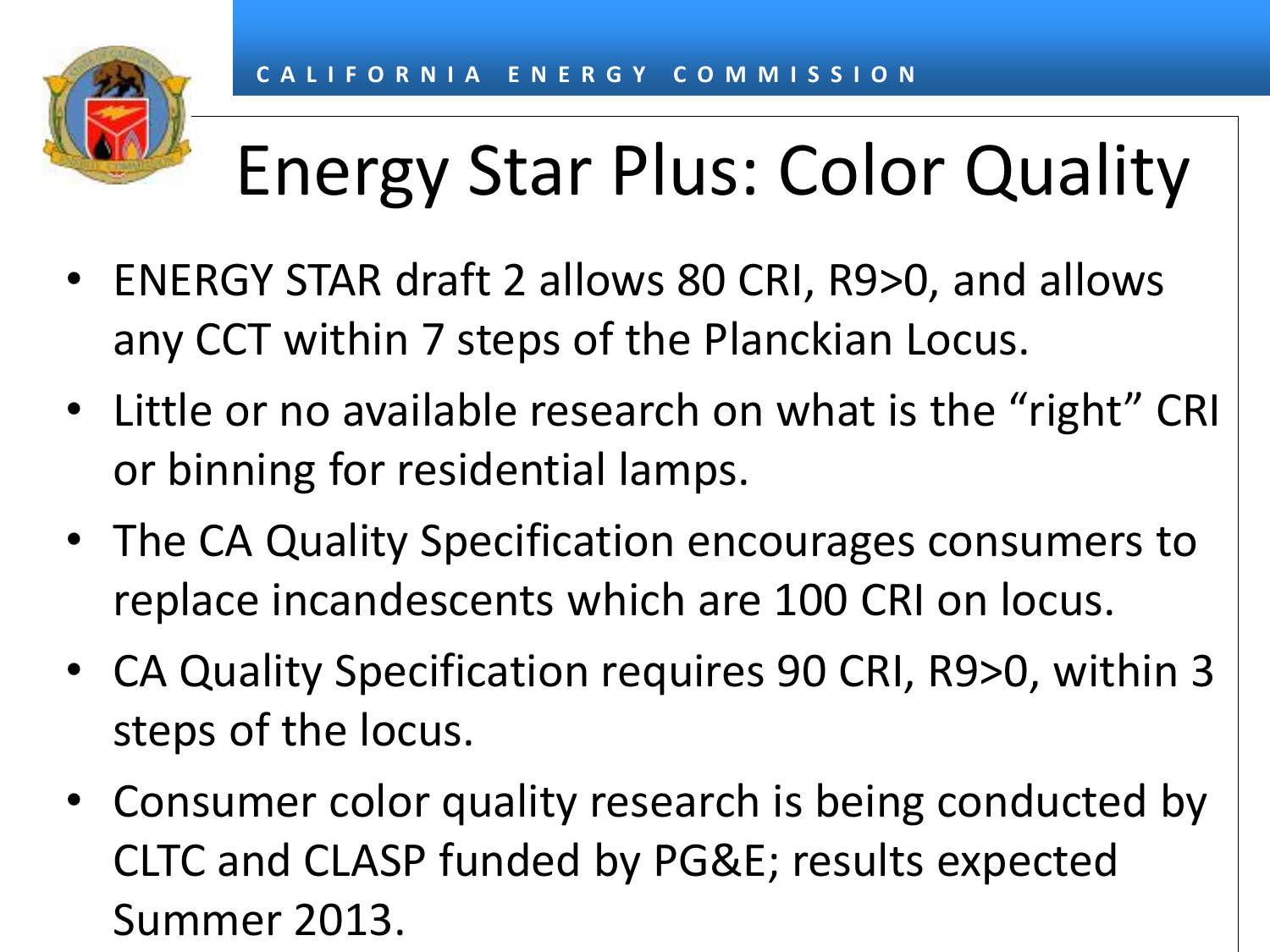# Energy Star Plus: Color Quality

- ENERGY STAR draft 2 allows 80 CRI, R9>0, and allows any CCT within 7 steps of the Planckian Locus.
- Little or no available research on what is the "right" CRI or binning for residential lamps.
- The CA Quality Specification encourages consumers to replace incandescents which are 100 CRI on locus.
- CA Quality Specification requires 90 CRI, R9>0, within 3 steps of the locus.
- Consumer color quality research is being conducted by CLTC and CLASP funded by PG&E; results expected Summer 2013.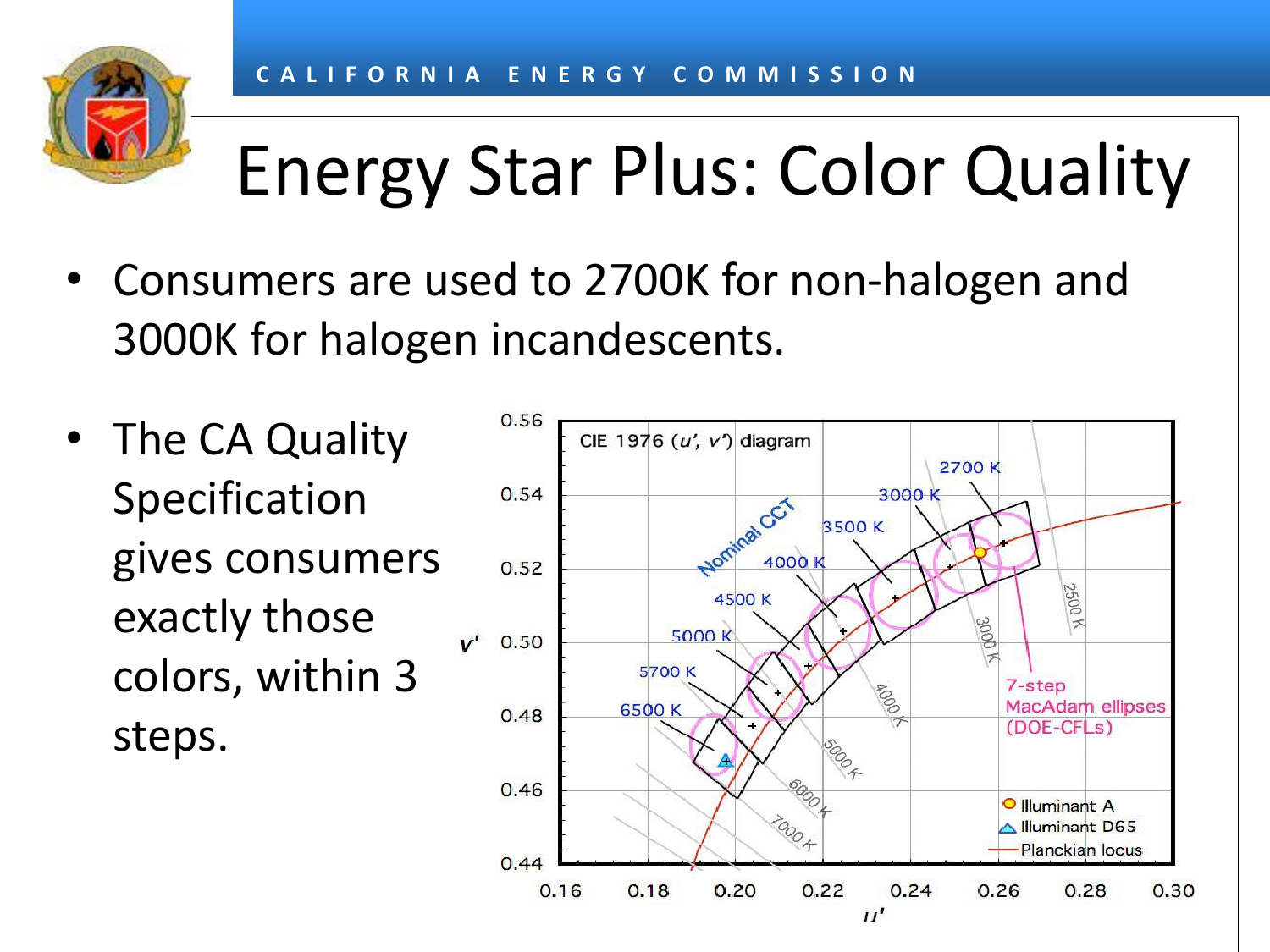

# Energy Star Plus: Color Quality

- Consumers are used to 2700K for non-halogen and 3000K for halogen incandescents.
- The CA Quality Specification gives consumers exactly those colors, within 3 steps.

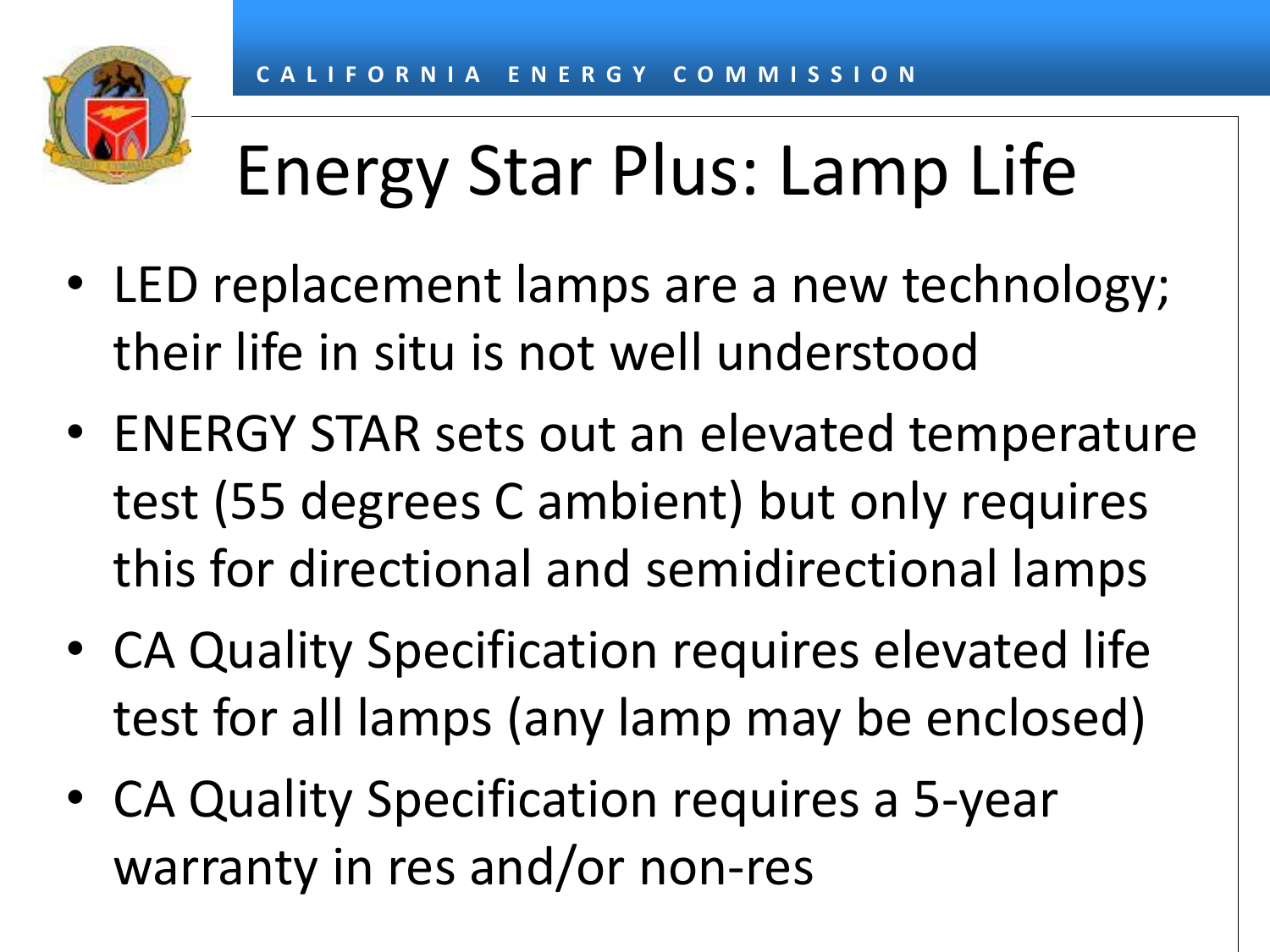# Energy Star Plus: Lamp Life

- LED replacement lamps are a new technology; their life in situ is not well understood
- ENERGY STAR sets out an elevated temperature test (55 degrees C ambient) but only requires this for directional and semidirectional lamps
- CA Quality Specification requires elevated life test for all lamps (any lamp may be enclosed)
- CA Quality Specification requires a 5-year warranty in res and/or non-res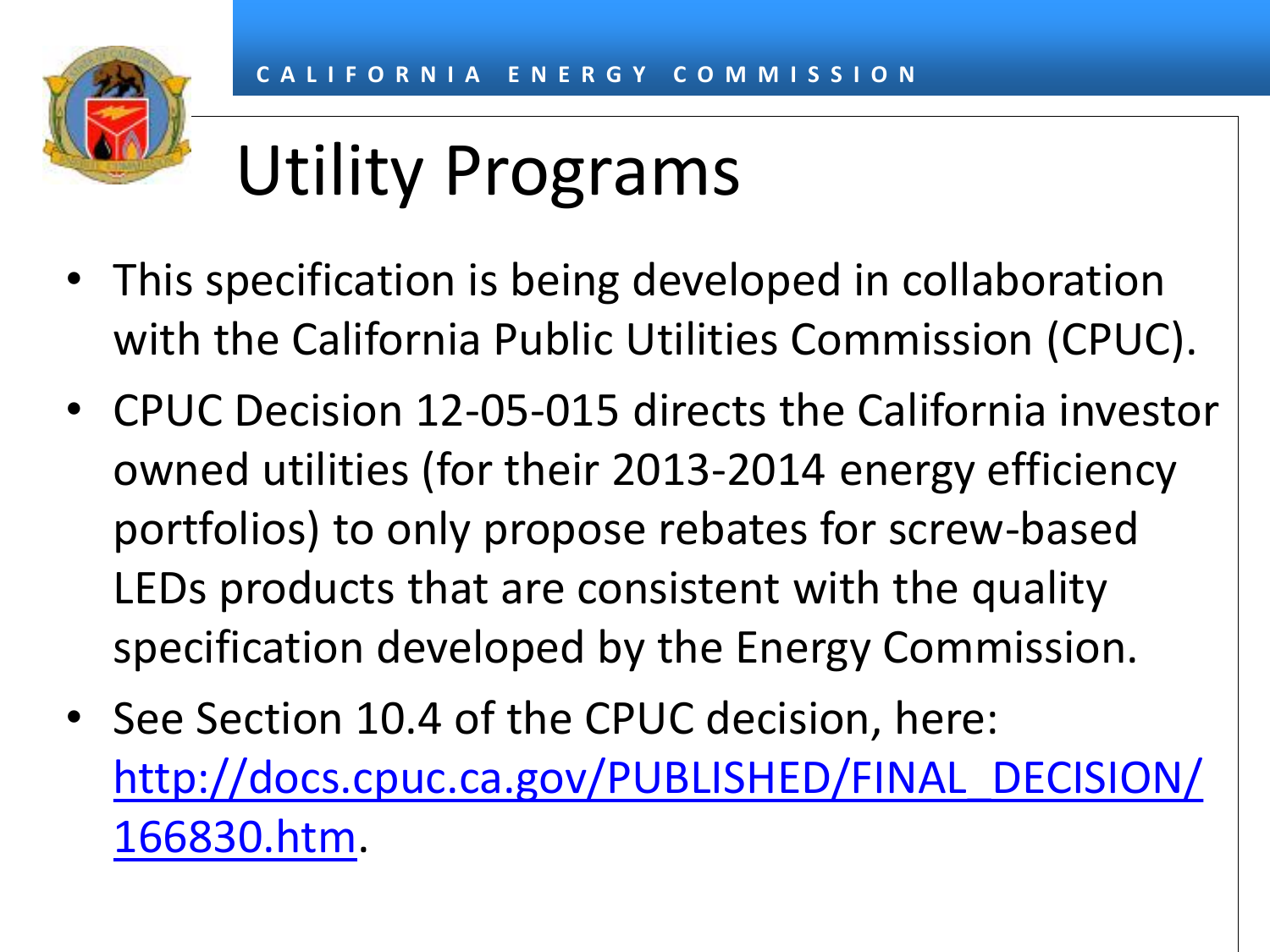

# Utility Programs

- This specification is being developed in collaboration with the California Public Utilities Commission (CPUC).
- CPUC Decision 12-05-015 directs the California investor owned utilities (for their 2013-2014 energy efficiency portfolios) to only propose rebates for screw-based LEDs products that are consistent with the quality specification developed by the Energy Commission.
- See Section 10.4 of the CPUC decision, here: [http://docs.cpuc.ca.gov/PUBLISHED/FINAL\\_DECISION/](http://docs.cpuc.ca.gov/PUBLISHED/FINAL_DECISION/166830.htm) [166830.htm.](http://docs.cpuc.ca.gov/PUBLISHED/FINAL_DECISION/166830.htm)